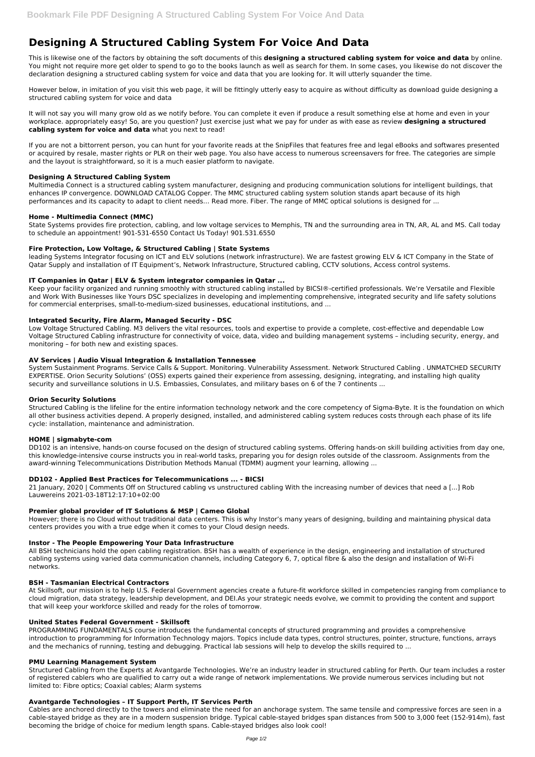# **Designing A Structured Cabling System For Voice And Data**

This is likewise one of the factors by obtaining the soft documents of this **designing a structured cabling system for voice and data** by online. You might not require more get older to spend to go to the books launch as well as search for them. In some cases, you likewise do not discover the declaration designing a structured cabling system for voice and data that you are looking for. It will utterly squander the time.

However below, in imitation of you visit this web page, it will be fittingly utterly easy to acquire as without difficulty as download guide designing a structured cabling system for voice and data

It will not say you will many grow old as we notify before. You can complete it even if produce a result something else at home and even in your workplace. appropriately easy! So, are you question? Just exercise just what we pay for under as with ease as review **designing a structured cabling system for voice and data** what you next to read!

If you are not a bittorrent person, you can hunt for your favorite reads at the SnipFiles that features free and legal eBooks and softwares presented or acquired by resale, master rights or PLR on their web page. You also have access to numerous screensavers for free. The categories are simple and the layout is straightforward, so it is a much easier platform to navigate.

# **Designing A Structured Cabling System**

Multimedia Connect is a structured cabling system manufacturer, designing and producing communication solutions for intelligent buildings, that enhances IP convergence. DOWNLOAD CATALOG Copper. The MMC structured cabling system solution stands apart because of its high performances and its capacity to adapt to client needs… Read more. Fiber. The range of MMC optical solutions is designed for ...

# **Home - Multimedia Connect (MMC)**

State Systems provides fire protection, cabling, and low voltage services to Memphis, TN and the surrounding area in TN, AR, AL and MS. Call today to schedule an appointment! 901-531-6550 Contact Us Today! 901.531.6550

# **Fire Protection, Low Voltage, & Structured Cabling | State Systems**

leading Systems Integrator focusing on ICT and ELV solutions (network infrastructure). We are fastest growing ELV & ICT Company in the State of Qatar Supply and installation of IT Equipment's, Network Infrastructure, Structured cabling, CCTV solutions, Access control systems.

# **IT Companies in Qatar | ELV & System integrator companies in Qatar ...**

Keep your facility organized and running smoothly with structured cabling installed by BICSI®-certified professionals. We're Versatile and Flexible and Work With Businesses like Yours DSC specializes in developing and implementing comprehensive, integrated security and life safety solutions for commercial enterprises, small-to-medium-sized businesses, educational institutions, and ...

#### **Integrated Security, Fire Alarm, Managed Security - DSC**

Low Voltage Structured Cabling. M3 delivers the vital resources, tools and expertise to provide a complete, cost-effective and dependable Low Voltage Structured Cabling infrastructure for connectivity of voice, data, video and building management systems – including security, energy, and monitoring – for both new and existing spaces.

#### **AV Services | Audio Visual Integration & Installation Tennessee**

System Sustainment Programs. Service Calls & Support. Monitoring. Vulnerability Assessment. Network Structured Cabling . UNMATCHED SECURITY EXPERTISE. Orion Security Solutions' (OSS) experts gained their experience from assessing, designing, integrating, and installing high quality security and surveillance solutions in U.S. Embassies, Consulates, and military bases on 6 of the 7 continents ...

#### **Orion Security Solutions**

Structured Cabling is the lifeline for the entire information technology network and the core competency of Sigma-Byte. It is the foundation on which all other business activities depend. A properly designed, installed, and administered cabling system reduces costs through each phase of its life cycle: installation, maintenance and administration.

#### **HOME | sigmabyte-com**

DD102 is an intensive, hands-on course focused on the design of structured cabling systems. Offering hands-on skill building activities from day one, this knowledge-intensive course instructs you in real-world tasks, preparing you for design roles outside of the classroom. Assignments from the award-winning Telecommunications Distribution Methods Manual (TDMM) augment your learning, allowing ...

#### **DD102 - Applied Best Practices for Telecommunications ... - BICSI**

21 January, 2020 | Comments Off on Structured cabling vs unstructured cabling With the increasing number of devices that need a [...] Rob Lauwereins 2021-03-18T12:17:10+02:00

# **Premier global provider of IT Solutions & MSP | Cameo Global**

However; there is no Cloud without traditional data centers. This is why Instor's many years of designing, building and maintaining physical data centers provides you with a true edge when it comes to your Cloud design needs.

#### **Instor - The People Empowering Your Data Infrastructure**

All BSH technicians hold the open cabling registration. BSH has a wealth of experience in the design, engineering and installation of structured cabling systems using varied data communication channels, including Category 6, 7, optical fibre & also the design and installation of Wi-Fi networks.

#### **BSH - Tasmanian Electrical Contractors**

At Skillsoft, our mission is to help U.S. Federal Government agencies create a future-fit workforce skilled in competencies ranging from compliance to cloud migration, data strategy, leadership development, and DEI.As your strategic needs evolve, we commit to providing the content and support that will keep your workforce skilled and ready for the roles of tomorrow.

# **United States Federal Government - Skillsoft**

PROGRAMMING FUNDAMENTALS course introduces the fundamental concepts of structured programming and provides a comprehensive introduction to programming for Information Technology majors. Topics include data types, control structures, pointer, structure, functions, arrays and the mechanics of running, testing and debugging. Practical lab sessions will help to develop the skills required to ...

#### **PMU Learning Management System**

Structured Cabling from the Experts at Avantgarde Technologies. We're an industry leader in structured cabling for Perth. Our team includes a roster of registered cablers who are qualified to carry out a wide range of network implementations. We provide numerous services including but not limited to: Fibre optics; Coaxial cables; Alarm systems

#### **Avantgarde Technologies – IT Support Perth, IT Services Perth**

Cables are anchored directly to the towers and eliminate the need for an anchorage system. The same tensile and compressive forces are seen in a cable-stayed bridge as they are in a modern suspension bridge. Typical cable-stayed bridges span distances from 500 to 3,000 feet (152-914m), fast becoming the bridge of choice for medium length spans. Cable-stayed bridges also look cool!